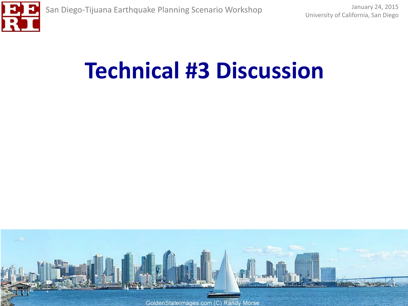

# **Technical #3 Discussion**

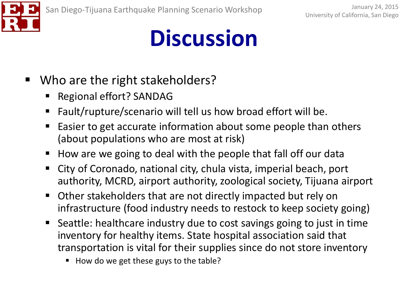

- Who are the right stakeholders?
	- Regional effort? SANDAG
	- Fault/rupture/scenario will tell us how broad effort will be.
	- Easier to get accurate information about some people than others (about populations who are most at risk)
	- $\blacksquare$  How are we going to deal with the people that fall off our data
	- City of Coronado, national city, chula vista, imperial beach, port authority, MCRD, airport authority, zoological society, Tijuana airport
	- Other stakeholders that are not directly impacted but rely on infrastructure (food industry needs to restock to keep society going)
	- Seattle: healthcare industry due to cost savings going to just in time inventory for healthy items. State hospital association said that transportation is vital for their supplies since do not store inventory
		- $\blacksquare$  How do we get these guys to the table?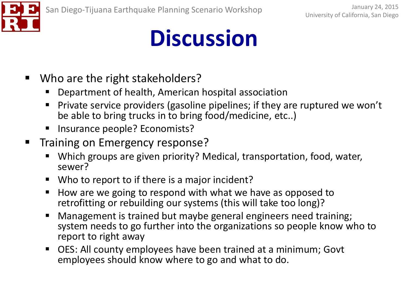

- Who are the right stakeholders?
	- Department of health, American hospital association
	- Private service providers (gasoline pipelines; if they are ruptured we won't be able to bring trucks in to bring food/medicine, etc..)
	- Insurance people? Economists?
- **Training on Emergency response?** 
	- Which groups are given priority? Medical, transportation, food, water, sewer?
	- Who to report to if there is a major incident?
	- How are we going to respond with what we have as opposed to retrofitting or rebuilding our systems (this will take too long)?
	- Management is trained but maybe general engineers need training; system needs to go further into the organizations so people know who to report to right away
	- OES: All county employees have been trained at a minimum; Govt employees should know where to go and what to do.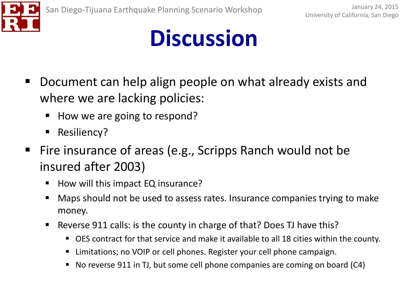

- Document can help align people on what already exists and where we are lacking policies:
	- $\blacksquare$  How we are going to respond?
	- **Resiliency?**
- Fire insurance of areas (e.g., Scripps Ranch would not be insured after 2003)
	- How will this impact EQ insurance?
	- Maps should not be used to assess rates. Insurance companies trying to make money.
	- Reverse 911 calls: is the county in charge of that? Does TJ have this?
		- OES contract for that service and make it available to all 18 cities within the county.
		- Limitations; no VOIP or cell phones. Register your cell phone campaign.
		- No reverse 911 in TJ, but some cell phone companies are coming on board (C4)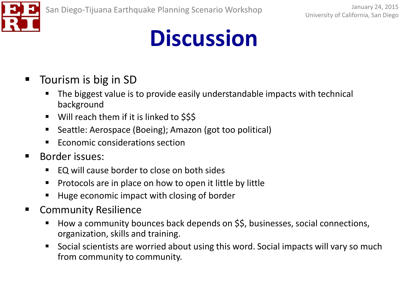

- Tourism is big in SD
	- The biggest value is to provide easily understandable impacts with technical background
	- Will reach them if it is linked to \$\$\$
	- Seattle: Aerospace (Boeing); Amazon (got too political)
	- **Example 2** Economic considerations section
- Border issues:
	- EQ will cause border to close on both sides
	- **Protocols are in place on how to open it little by little**
	- Huge economic impact with closing of border
- Community Resilience
	- How a community bounces back depends on \$\$, businesses, social connections, organization, skills and training.
	- **Social scientists are worried about using this word. Social impacts will vary so much** from community to community.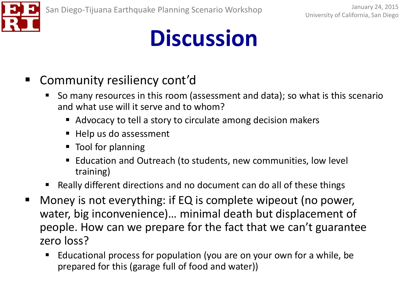

- Community resiliency cont'd
	- So many resources in this room (assessment and data); so what is this scenario and what use will it serve and to whom?
		- Advocacy to tell a story to circulate among decision makers
		- Help us do assessment
		- Tool for planning
		- Education and Outreach (to students, new communities, low level training)
	- Really different directions and no document can do all of these things
- Money is not everything: if EQ is complete wipeout (no power, water, big inconvenience)… minimal death but displacement of people. How can we prepare for the fact that we can't guarantee zero loss?
	- Educational process for population (you are on your own for a while, be prepared for this (garage full of food and water))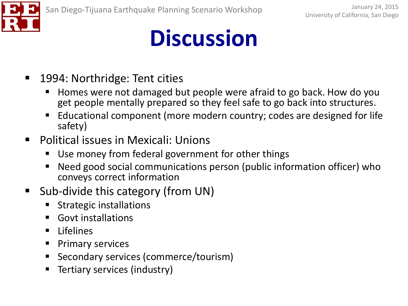

- 1994: Northridge: Tent cities
	- Homes were not damaged but people were afraid to go back. How do you get people mentally prepared so they feel safe to go back into structures.
	- Educational component (more modern country; codes are designed for life safety)
- **•** Political issues in Mexicali: Unions
	- Use money from federal government for other things
	- Need good social communications person (public information officer) who conveys correct information
- Sub-divide this category (from UN)
	- Strategic installations
	- Govt installations
	- **ELITED** Lifelines
	- **Primary services**
	- Secondary services (commerce/tourism)
	- **Tertiary services (industry)**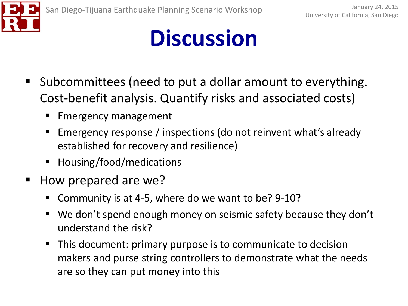

- Subcommittees (need to put a dollar amount to everything. Cost-benefit analysis. Quantify risks and associated costs)
	- Emergency management
	- Emergency response / inspections (do not reinvent what's already established for recovery and resilience)
	- Housing/food/medications
- How prepared are we?
	- Community is at 4-5, where do we want to be? 9-10?
	- We don't spend enough money on seismic safety because they don't understand the risk?
	- This document: primary purpose is to communicate to decision makers and purse string controllers to demonstrate what the needs are so they can put money into this